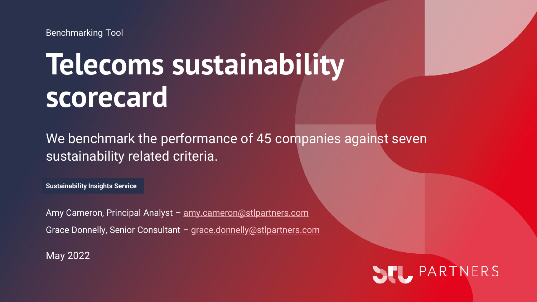Benchmarking Tool

## **Telecoms sustainability scorecard**

We benchmark the performance of 45 companies against seven sustainability related criteria.

**Sustainability Insights Service**

Amy Cameron, Principal Analyst - [amy.cameron@stlpartners.com](mailto:amy.cameron@stlpartners.com) Grace Donnelly, Senior Consultant – [grace.donnelly@stlpartners.com](mailto:liam.Mimnagh@stlpartners.com)

May 2022

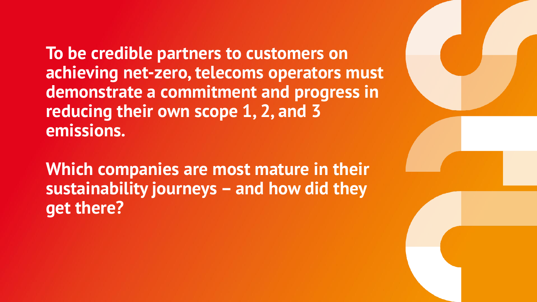**To be credible partners to customers on achieving net-zero, telecoms operators must demonstrate a commitment and progress in reducing their own scope 1, 2, and 3 emissions.**

**Which companies are most mature in their sustainability journeys – and how did they get there?**

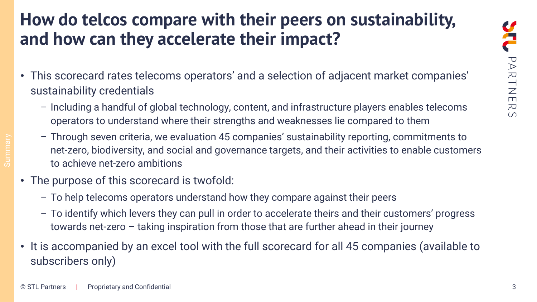### **How do telcos compare with their peers on sustainability, and how can they accelerate their impact?**

- This scorecard rates telecoms operators' and a selection of adjacent market companies' sustainability credentials
	- Including a handful of global technology, content, and infrastructure players enables telecoms operators to understand where their strengths and weaknesses lie compared to them
	- Through seven criteria, we evaluation 45 companies' sustainability reporting, commitments to net-zero, biodiversity, and social and governance targets, and their activities to enable customers to achieve net-zero ambitions
- The purpose of this scorecard is twofold:
	- To help telecoms operators understand how they compare against their peers
	- To identify which levers they can pull in order to accelerate theirs and their customers' progress towards net-zero – taking inspiration from those that are further ahead in their journey
- It is accompanied by an excel tool with the full scorecard for all 45 companies (available to subscribers only)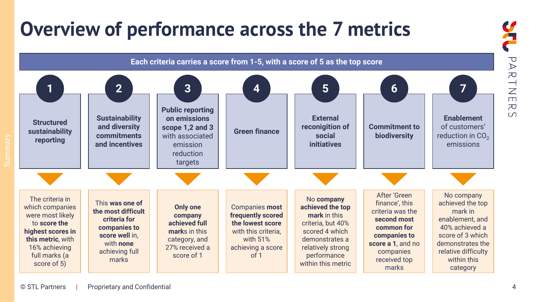## **Overview of performance across the 7 metrics**

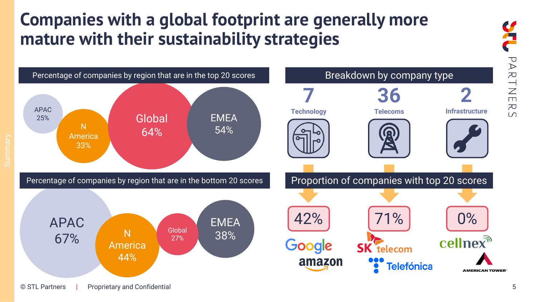### **Companies with a global footprint are generally more mature with their sustainability strategies**

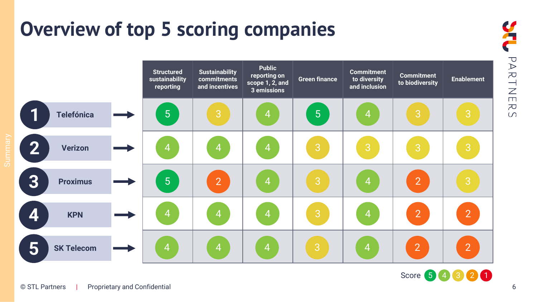## **Overview of top 5 scoring companies**



L PARTNERS

Score 5 4 3 2 1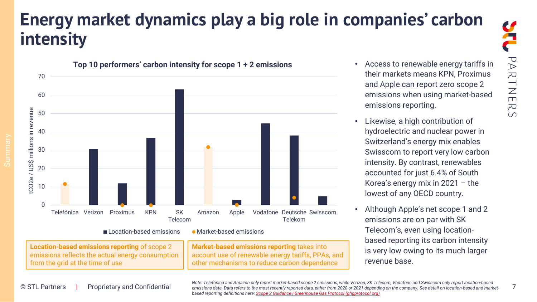## **Energy market dynamics play a big role in companies' carbon intensity**



Location-based emissions • Market-based emissions

**Location-based emissions reporting** of scope 2 emissions reflects the actual energy consumption from the grid at the time of use

**Market-based emissions reporting** takes into account use of renewable energy tariffs, PPAs, and other mechanisms to reduce carbon dependence

- Access to renewable energy tariffs in their markets means KPN, Proximus and Apple can report zero scope 2 emissions when using market-based emissions reporting.
- Likewise, a high contribution of hydroelectric and nuclear power in Switzerland's energy mix enables Swisscom to report very low carbon intensity. By contrast, renewables accounted for just 6.4% of South Korea's energy mix in 2021 – the lowest of any OECD country.
- Although Apple's net scope 1 and 2 emissions are on par with SK Telecom's, even using locationbased reporting its carbon intensity is very low owing to its much larger revenue base.

© STL Partners | Proprietary and Confidential emissions data. Data refers to the most recently reported data, either from 2020 or 2021 depending on the company. See detail on location-based and market-*Note: Telefónica and Amazon only report market-based scope 2 emissions, while Verizon, SK Telecom, Vodafone and Swisscom only report location-based based reporting definitions here: [Scope 2 Guidance | Greenhouse Gas Protocol \(ghgprotocol.org\)](https://ghgprotocol.org/scope_2_guidance)*

PARTNER

 $\Omega$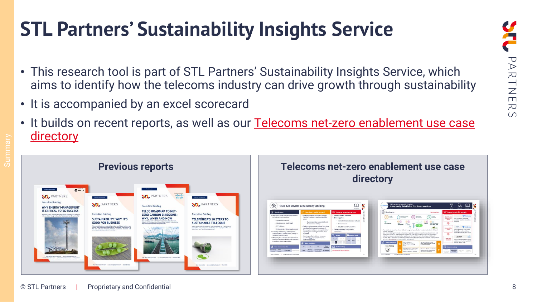## **STL Partners' Sustainability Insights Service**

- This research tool is part of STL Partners' Sustainability Insights Service, which aims to identify how the telecoms industry can drive growth through sustainability
- It is accompanied by an excel scorecard
- [It builds on recent reports, as well as our Telecoms net-zero enablement use case](https://stlpartners.com/tools/the-net-zero-enablement-use-case-directory/) directory





# Telco R2R services sustainability labellin